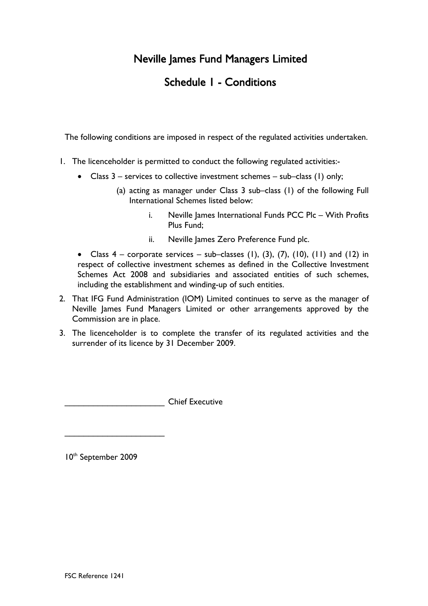# Neville James Fund Managers Limited

# Schedule 1 - Conditions

The following conditions are imposed in respect of the regulated activities undertaken.

- 1. The licenceholder is permitted to conduct the following regulated activities:-
	- Class 3 services to collective investment schemes sub–class (1) only;
		- (a) acting as manager under Class 3 sub–class (1) of the following Full International Schemes listed below:
			- i. Neville James International Funds PCC Plc With Profits Plus Fund;
			- ii. Neville James Zero Preference Fund plc.
	- Class  $4$  corporate services sub–classes (1), (3), (7), (10), (11) and (12) in respect of collective investment schemes as defined in the Collective Investment Schemes Act 2008 and subsidiaries and associated entities of such schemes, including the establishment and winding-up of such entities.
- 2. That IFG Fund Administration (IOM) Limited continues to serve as the manager of Neville James Fund Managers Limited or other arrangements approved by the Commission are in place.
- 3. The licenceholder is to complete the transfer of its regulated activities and the surrender of its licence by 31 December 2009.

\_\_\_\_\_\_\_\_\_\_\_\_\_\_\_\_\_\_\_\_\_ Chief Executive

10<sup>th</sup> September 2009

\_\_\_\_\_\_\_\_\_\_\_\_\_\_\_\_\_\_\_\_\_